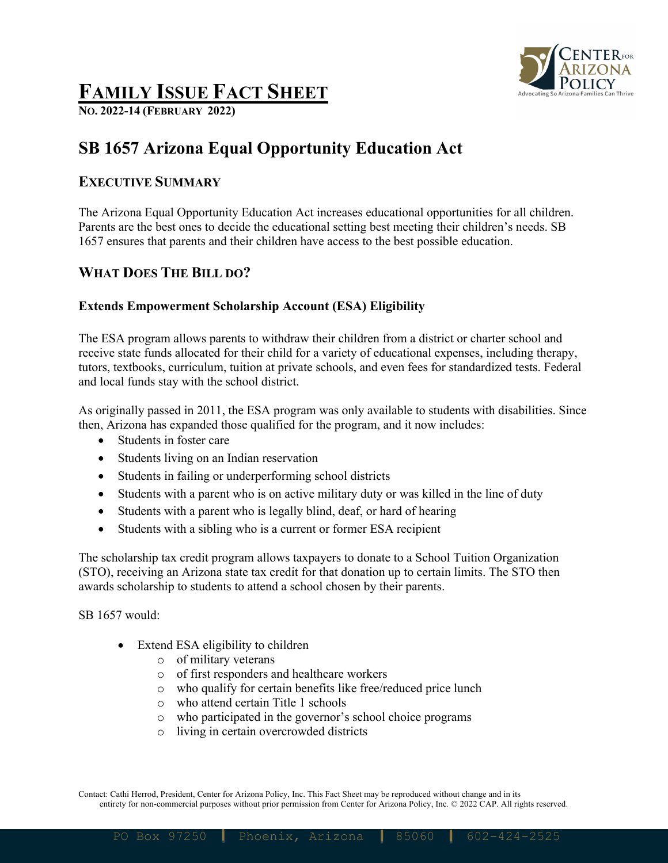

# **FAMILY ISSUE FACT SHEET**

**NO. 2022-14 (FEBRUARY 2022)**

# **SB 1657 Arizona Equal Opportunity Education Act**

### **EXECUTIVE SUMMARY**

The Arizona Equal Opportunity Education Act increases educational opportunities for all children. Parents are the best ones to decide the educational setting best meeting their children's needs. SB 1657 ensures that parents and their children have access to the best possible education.

## **WHAT DOES THE BILL DO?**

#### **Extends Empowerment Scholarship Account (ESA) Eligibility**

The ESA program allows parents to withdraw their children from a district or charter school and receive state funds allocated for their child for a variety of educational expenses, including therapy, tutors, textbooks, curriculum, tuition at private schools, and even fees for standardized tests. Federal and local funds stay with the school district.

As originally passed in 2011, the ESA program was only available to students with disabilities. Since then, Arizona has expanded those qualified for the program, and it now includes:

- Students in foster care
- Students living on an Indian reservation
- Students in failing or underperforming school districts
- Students with a parent who is on active military duty or was killed in the line of duty
- Students with a parent who is legally blind, deaf, or hard of hearing
- Students with a sibling who is a current or former ESA recipient

The scholarship tax credit program allows taxpayers to donate to a School Tuition Organization (STO), receiving an Arizona state tax credit for that donation up to certain limits. The STO then awards scholarship to students to attend a school chosen by their parents.

SB 1657 would:

- Extend ESA eligibility to children
	- o of military veterans
	- o of first responders and healthcare workers
	- o who qualify for certain benefits like free/reduced price lunch
	- o who attend certain Title 1 schools
	- o who participated in the governor's school choice programs
	- o living in certain overcrowded districts

Contact: Cathi Herrod, President, Center for Arizona Policy, Inc. This Fact Sheet may be reproduced without change and in its entirety for non-commercial purposes without prior permission from Center for Arizona Policy, Inc. © 2022 CAP. All rights reserved.